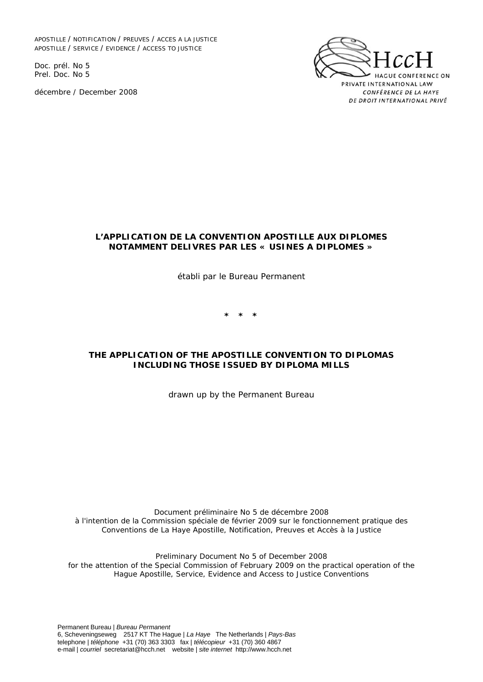APOSTILLE / NOTIFICATION / PREUVES / ACCES A LA JUSTICE APOSTILLE / SERVICE / EVIDENCE / ACCESS TO JUSTICE

Doc. prél. No 5 Prel. Doc. No 5

décembre / December 2008



#### **L'APPLICATION DE LA CONVENTION APOSTILLE AUX DIPLOMES NOTAMMENT DELIVRES PAR LES « USINES A DIPLOMES »**

*établi par le Bureau Permanent* 

**\* \* \*** 

#### **THE APPLICATION OF THE APOSTILLE CONVENTION TO DIPLOMAS INCLUDING THOSE ISSUED BY DIPLOMA MILLS**

*drawn up by the Permanent Bureau*

*Document préliminaire No 5 de décembre 2008 à l'intention de la Commission spéciale de février 2009 sur le fonctionnement pratique des Conventions de La Haye Apostille, Notification, Preuves et Accès à la Justice* 

*Preliminary Document No 5 of December 2008 for the attention of the Special Commission of February 2009 on the practical operation of the Hague Apostille, Service, Evidence and Access to Justice Conventions*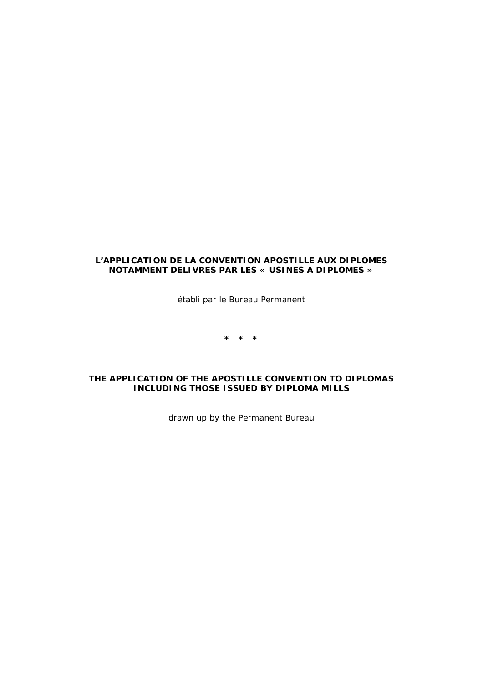### **L'APPLICATION DE LA CONVENTION APOSTILLE AUX DIPLOMES NOTAMMENT DELIVRES PAR LES « USINES A DIPLOMES »**

*établi par le Bureau Permanent* 

**\* \* \*** 

#### **THE APPLICATION OF THE APOSTILLE CONVENTION TO DIPLOMAS INCLUDING THOSE ISSUED BY DIPLOMA MILLS**

*drawn up by the Permanent Bureau*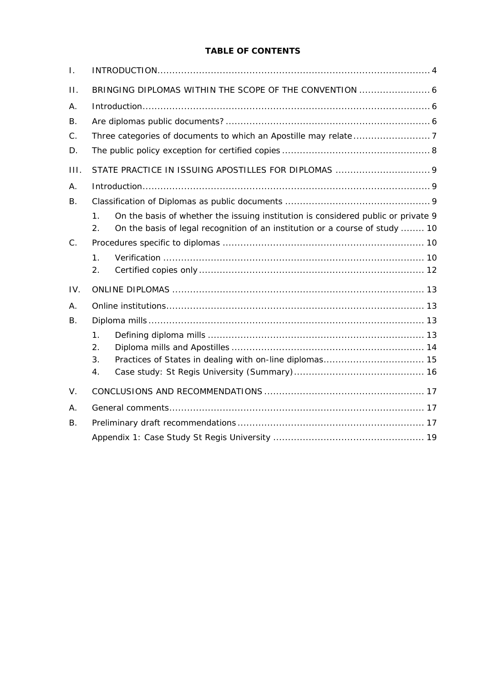# **TABLE OF CONTENTS**

| $\mathbf{L}$ |                                                                                                    |  |
|--------------|----------------------------------------------------------------------------------------------------|--|
| $\Pi$ .      |                                                                                                    |  |
| Α.           |                                                                                                    |  |
| В.           |                                                                                                    |  |
| $C$ .        |                                                                                                    |  |
| D.           |                                                                                                    |  |
| III.         |                                                                                                    |  |
| А.           |                                                                                                    |  |
| <b>B.</b>    |                                                                                                    |  |
|              | On the basis of whether the issuing institution is considered public or private 9<br>$\mathbf 1$ . |  |
|              | On the basis of legal recognition of an institution or a course of study  10<br>2.                 |  |
| $C_{\cdot}$  |                                                                                                    |  |
|              | 1.                                                                                                 |  |
|              | 2.                                                                                                 |  |
| IV.          |                                                                                                    |  |
| Α.           |                                                                                                    |  |
| В.           |                                                                                                    |  |
|              | $\mathbf{1}$ .                                                                                     |  |
|              | 2.                                                                                                 |  |
|              | 3.                                                                                                 |  |
|              | 4.                                                                                                 |  |
| V.           |                                                                                                    |  |
| Α.           |                                                                                                    |  |
| В.           |                                                                                                    |  |
|              |                                                                                                    |  |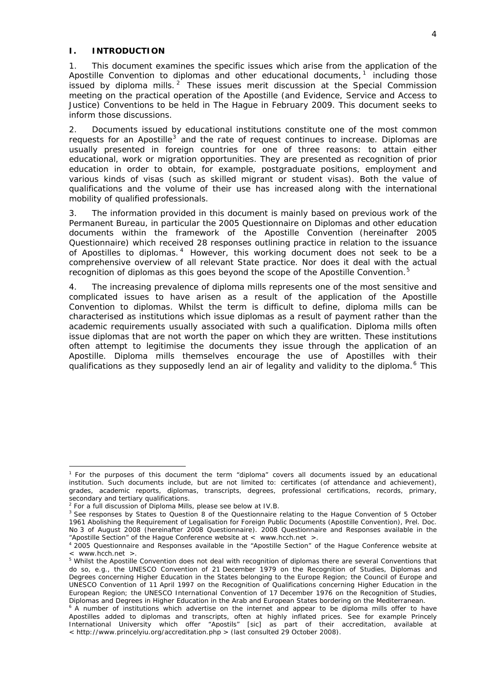### <span id="page-3-0"></span>**I. INTRODUCTION**

1. This document examines the specific issues which arise from the application of the Apostille Convention to diplomas and other educational documents,  $1$  including those issued by diploma mills.  $2$  These issues merit discussion at the Special Commission meeting on the practical operation of the Apostille (and Evidence, Service and Access to Justice) Conventions to be held in The Hague in February 2009. This document seeks to inform those discussions.

2. Documents issued by educational institutions constitute one of the most common requests for an Apostille<sup>[3](#page-3-3)</sup> and the rate of request continues to increase. Diplomas are usually presented in foreign countries for one of three reasons: to attain either educational, work or migration opportunities. They are presented as recognition of prior education in order to obtain, for example, postgraduate positions, employment and various kinds of visas (such as skilled migrant or student visas). Both the value of qualifications and the volume of their use has increased along with the international mobility of qualified professionals.

3. The information provided in this document is mainly based on previous work of the Permanent Bureau, in particular the *2005 Questionnaire on Diplomas and other education documents within the framework of the Apostille Convention* (hereinafter 2005 Questionnaire) which received 28 responses outlining practice in relation to the issuance of Apostilles to diplomas. [4](#page-3-4) However, this working document does not seek to be a comprehensive overview of all relevant State practice. Nor does it deal with the actual recognition of diplomas as this goes beyond the scope of the Apostille Convention.<sup>[5](#page-3-5)</sup>

4. The increasing prevalence of diploma mills represents one of the most sensitive and complicated issues to have arisen as a result of the application of the Apostille Convention to diplomas. Whilst the term is difficult to define, diploma mills can be characterised as institutions which issue diplomas as a result of payment rather than the academic requirements usually associated with such a qualification. Diploma mills often issue diplomas that are not worth the paper on which they are written. These institutions often attempt to legitimise the documents they issue through the application of an Apostille. Diploma mills themselves encourage the use of Apostilles with their qualifications as they supposedly lend an air of legality and validity to the diploma.<sup>[6](#page-3-6)</sup> This

<span id="page-3-1"></span><sup>&</sup>lt;sup>1</sup> For the purposes of this document the term "diploma" covers all documents issued by an educational institution. Such documents include, but are not limited to: certificates (of attendance and achievement), grades, academic reports, diplomas, transcripts, degrees, professional certifications, records, primary, secondary and tertiary qualifications.

<span id="page-3-2"></span><sup>&</sup>lt;sup>2</sup> For a full discussion of Diploma Mills, please see below at IV.B.<br><sup>3</sup> See responses by States to Question 8 of the Questionneire r

<span id="page-3-3"></span>See responses by States to Question 8 of the Questionnaire relating to the *Hague Convention of 5 October*  1961 Abolishing the Requirement of Legalisation for Foreign Public Documents (Apostille Convention), Prel. Doc. No 3 of August 2008 (hereinafter 2008 Questionnaire). 2008 Questionnaire and Responses available in the "Apostille Section" of the Hague Conference website at < www.hcch.net >. 4

<span id="page-3-4"></span><sup>&</sup>lt;sup>4</sup> 2005 Questionnaire and Responses available in the "Apostille Section" of the Hague Conference website at < www.hcch.net >.

<span id="page-3-5"></span><sup>&</sup>lt;sup>5</sup> Whilst the Apostille Convention does not deal with recognition of diplomas there are several Conventions that do so, *e.g.*, the *UNESCO Convention of 21 December 1979 on the Recognition of Studies, Diplomas and Degrees concerning Higher Education in the States belonging to the Europe Region*; the *Council of Europe and UNESCO Convention of 11 April 1997 on the Recognition of Qualifications concerning Higher Education in the European Region*; the *UNESCO International Convention of 17 December 1976 on the Recognition of Studies,* 

<span id="page-3-6"></span>*Diplomas and Degrees in Higher Education in the Arab and European States bordering on the Mediterranean.* 6 A number of institutions which advertise on the internet and appear to be diploma mills offer to have Apostilles added to diplomas and transcripts, often at highly inflated prices. See for example Princely International University which offer "Apostils" [sic] as part of their accreditation, available at < http://www.princelyiu.org/accreditation.php > (last consulted 29 October 2008).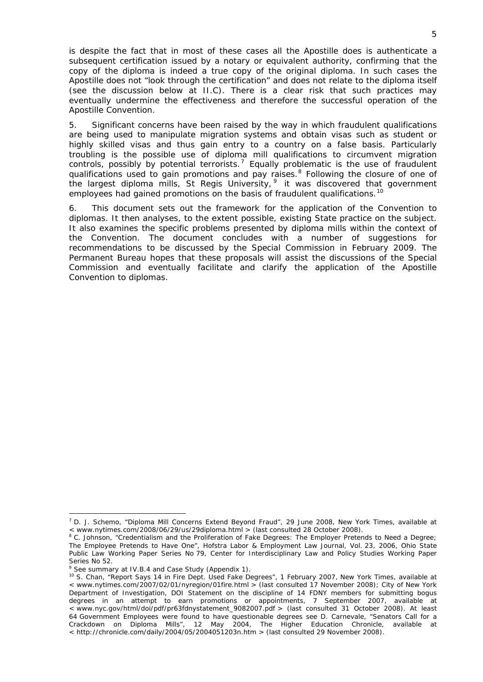is despite the fact that in most of these cases all the Apostille does is authenticate a subsequent certification issued by a notary or equivalent authority, confirming that the copy of the diploma is indeed a true copy of the original diploma. In such cases the Apostille does not "look through the certification" and does not relate to the diploma itself (see the discussion below at [II.C](#page-6-0)). There is a clear risk that such practices may eventually undermine the effectiveness and therefore the successful operation of the Apostille Convention.

5. Significant concerns have been raised by the way in which fraudulent qualifications are being used to manipulate migration systems and obtain visas such as student or highly skilled visas and thus gain entry to a country on a false basis. Particularly troubling is the possible use of diploma mill qualifications to circumvent migration controls, possibly by potential terrorists.[7](#page-4-0) Equally problematic is the use of fraudulent qualifications used to gain promotions and pay raises.<sup>[8](#page-4-1)</sup> Following the closure of one of the largest diploma mills, St Regis University,  $9$  it was discovered that government employees had gained promotions on the basis of fraudulent qualifications.<sup>10</sup>

6. This document sets out the framework for the application of the Convention to diplomas. It then analyses, to the extent possible, existing State practice on the subject. It also examines the specific problems presented by diploma mills within the context of the Convention. The document concludes with a number of suggestions for recommendations to be discussed by the Special Commission in February 2009. The Permanent Bureau hopes that these proposals will assist the discussions of the Special Commission and eventually facilitate and clarify the application of the Apostille Convention to diplomas.

<span id="page-4-0"></span><sup>7</sup> D. J. Schemo, "Diploma Mill Concerns Extend Beyond Fraud", 29 June 2008, *New York Times*, available at < www.nytimes.com/2008/06/29/us/29diploma.html > (last consulted 28 October 2008).

<span id="page-4-1"></span><sup>&</sup>lt;sup>8</sup> C. Johnson, "Credentialism and the Proliferation of Fake Degrees: The Employer Pretends to Need a Degree; [The Employee Pretends to Have One"](http://papers.ssrn.com/sol3/papers.cfm?abstract_id=925243), *Hofstra Labor & Employment Law Journal*, Vol. 23, 2006, Ohio State Public Law Working Paper Series No 79, Center for Interdisciplinary Law and Policy Studies Working Paper Series No 52.

<span id="page-4-2"></span><sup>&</sup>lt;sup>9</sup> See summary at IV.B.4 and Case Study (Appendix 1).

<sup>10</sup> S. Chan, "Report Says 14 in Fire Dept. Used Fake Degrees", 1 February 2007, *New York Times*, available at < www.nytimes.com/2007/02/01/nyregion/01fire.html > (last consulted 17 November 2008); City of New York Department of Investigation, DOI Statement on the discipline of 14 FDNY members for submitting bogus degrees in an attempt to earn promotions or appointments, 7 September 2007, available at < www.nyc.gov/html/doi/pdf/pr63fdnystatement\_9082007.pdf > (last consulted 31 October 2008). At least 64 Government Employees were found to have questionable degrees see D. Carnevale, "Senators Call for a Crackdown on Diploma Mills", 12 May 2004, *The Higher Education Chronicle*, available at < http://chronicle.com/daily/2004/05/2004051203n.htm > (last consulted 29 November 2008).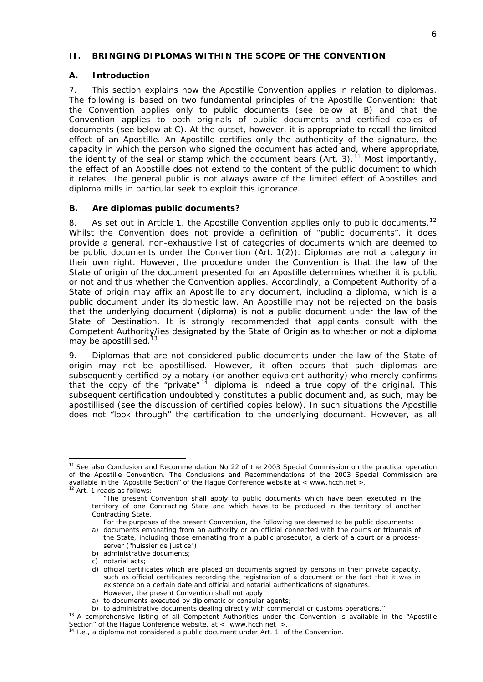#### <span id="page-5-0"></span>**II. BRINGING DIPLOMAS WITHIN THE SCOPE OF THE CONVENTION**

#### <span id="page-5-1"></span>**A. Introduction**

7. This section explains how the Apostille Convention applies in relation to diplomas. The following is based on two fundamental principles of the Apostille Convention: that the Convention applies only to *public* documents (see below at [B](#page-5-2)) and that the Convention applies to both *originals* of public documents and *certified copies* of documents (see below at [C](#page-6-0)). At the outset, however, it is appropriate to recall the *limited effect of an Apostille*. An Apostille certifies only the authenticity of the signature, the capacity in which the person who signed the document has acted and, where appropriate, the identity of the seal or stamp which the document bears (Art. 3).[11](#page-5-3) *Most importantly, the effect of an Apostille does not extend to the content of the public document to which it relates.* The general public is not always aware of the limited effect of Apostilles and diploma mills in particular seek to exploit this ignorance.

#### <span id="page-5-2"></span>**B. Are diplomas public documents?**

8. As set out in Article 1, the Apostille Convention applies only to public documents.<sup>[12](#page-5-4)</sup> Whilst the Convention does not provide a definition of "public documents", it does provide a general, non-exhaustive list of categories of documents which are deemed to be public documents under the Convention (Art. 1(2)). Diplomas are not a category in their own right. However, the procedure under the Convention is that the law of the State of origin of the document presented for an Apostille determines whether it is public or not and thus whether the Convention applies. Accordingly, a Competent Authority of a State of origin may affix an Apostille to any document, including a diploma, *which is a public document under its domestic law*. An Apostille may not be rejected on the basis that the underlying document (diploma) is not a public document under the law of the State of Destination. It is strongly recommended that applicants consult with the Competent Authority/ies designated by the State of Origin as to whether or not a diploma may be apostillised.<sup>[13](#page-5-5)</sup>

9. Diplomas that are not considered public documents under the law of the State of origin may not be apostillised. However, it often occurs that such diplomas are subsequently certified by a notary (or another equivalent authority) who merely confirms that the copy of the "private"<sup>[14](#page-5-6)</sup> diploma is indeed a true copy of the original. This subsequent certification undoubtedly constitutes a public document and, as such, may be apostillised (see the discussion of certified copies below). In such situations the Apostille does not "look through" the certification to the underlying document. However, as all

-

*b)* administrative documents;

<span id="page-5-3"></span><sup>&</sup>lt;sup>11</sup> See also Conclusion and Recommendation No 22 of the 2003 Special Commission on the practical operation of the Apostille Convention. The Conclusions and Recommendations of the 2003 Special Commission are available in the "Apostille Section" of the Hague Conference website at < www.hcch.net >. 12 Art. 1 reads as follows:

<span id="page-5-4"></span>

 <sup>&</sup>quot;The present Convention shall apply to public documents which have been executed in the territory of one Contracting State and which have to be produced in the territory of another Contracting State.

For the purposes of the present Convention, the following are deemed to be public documents:

*a)* documents emanating from an authority or an official connected with the courts or tribunals of the State, including those emanating from a public prosecutor, a clerk of a court or a processserver ("*huissier de justice*");

*c)* notarial acts;

*d)* official certificates which are placed on documents signed by persons in their private capacity, such as official certificates recording the registration of a document or the fact that it was in existence on a certain date and official and notarial authentications of signatures. However, the present Convention shall not apply:

*a*) to documents executed by diplomatic or consular agents;<br>*b*) to administrative documents dealing directly with commercial or customs operations."

<span id="page-5-5"></span><sup>&</sup>lt;sup>13</sup> A comprehensive listing of all Competent Authorities under the Convention is available in the "Apostille Section" of the Hague Conference website, at < www.hcch.net >. 14 *I.e.*, a diploma not considered a public document under Art. 1. of the Convention.

<span id="page-5-6"></span>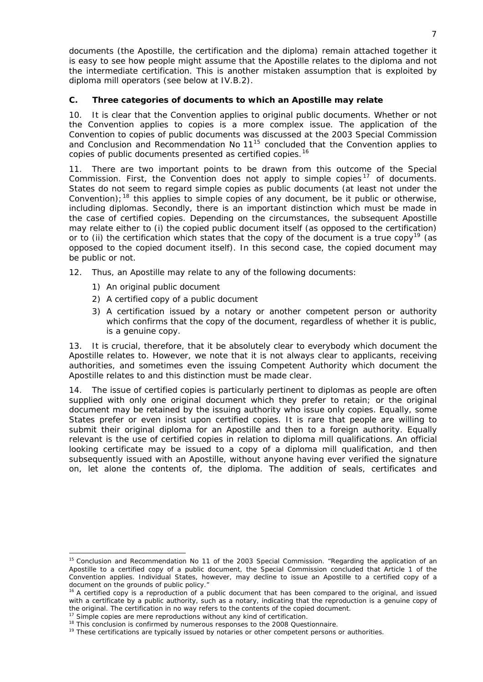documents (the Apostille, the certification and the diploma) remain attached together it is easy to see how people might assume that the Apostille relates to the diploma and not the intermediate certification. This is another mistaken assumption that is exploited by diploma mill operators (see below at [IV.B.2](#page-13-0)).

## <span id="page-6-0"></span>**C. Three categories of documents to which an Apostille may relate**

10. It is clear that the Convention applies to original public documents. Whether or not the Convention applies to copies is a more complex issue. The application of the Convention to copies of public documents was discussed at the 2003 Special Commission and Conclusion and Recommendation No  $11^{15}$  $11^{15}$  $11^{15}$  concluded that the Convention applies to copies of public documents presented as *certified* copies.[16](#page-6-2)

11. There are two important points to be drawn from this outcome of the Special Commission. First, the Convention does not apply to *simple* copies [17](#page-6-3) of documents. States do not seem to regard simple copies as public documents (at least not under the Convention);<sup>[18](#page-6-4)</sup> this applies to simple copies of *any* document, be it public or otherwise, including diplomas. Secondly, there is an important distinction which must be made in the case of *certified* copies. Depending on the circumstances, the subsequent Apostille may relate either to (i) the *copied public document itself* (as opposed to the certification) or to (ii) the *certification* which states that the copy of the document is a true copy<sup>[19](#page-6-5)</sup> (as opposed to the copied document itself). In this second case, the copied document may be public or not.

- 12. Thus, an Apostille may relate to any of the following documents:
	- 1) An original public document
	- 2) A certified copy of a public document
	- 3) A certification issued by a notary or another competent person or authority which confirms that the copy of the document, regardless of whether it is public, is a genuine copy.

13. It is crucial, therefore, that it be absolutely clear to everybody which document the Apostille relates to. However, we note that it is not always clear to applicants, receiving authorities, and sometimes even the issuing Competent Authority which document the Apostille relates to and this distinction must be made clear.

14. The issue of certified copies is particularly pertinent to diplomas as people are often supplied with only one original document which they prefer to retain; or the original document may be retained by the issuing authority who issue only copies. Equally, some States prefer or even insist upon certified copies. It is rare that people are willing to submit their original diploma for an Apostille and then to a foreign authority. Equally relevant is the use of certified copies in relation to diploma mill qualifications. An official looking certificate may be issued to a copy of a diploma mill qualification, and then subsequently issued with an Apostille, without anyone having ever verified the signature on, let alone the contents of, the diploma. The addition of seals, certificates and

<span id="page-6-1"></span><sup>&</sup>lt;sup>15</sup> Conclusion and Recommendation No 11 of the 2003 Special Commission. "Regarding the application of an Apostille to a certified copy of a public document, the Special Commission concluded that Article 1 of the Convention applies. Individual States, however, may decline to issue an Apostille to a certified copy of a document on the grounds of public policy."

<span id="page-6-2"></span><sup>&</sup>lt;sup>16</sup> A *certified* copy is a reproduction of a public document that has been compared to the original, and issued with a certificate by a public authority, such as a notary, indicating that the reproduction is a genuine copy of the original. The certification in no way refers to the contents of the copied document.<br>
<sup>17</sup> *Simple* copies are mere reproductions without any kind of certification.<br>
<sup>18</sup> This conclusion is confirmed by numerous respo

<span id="page-6-3"></span>

<span id="page-6-4"></span>

<span id="page-6-5"></span>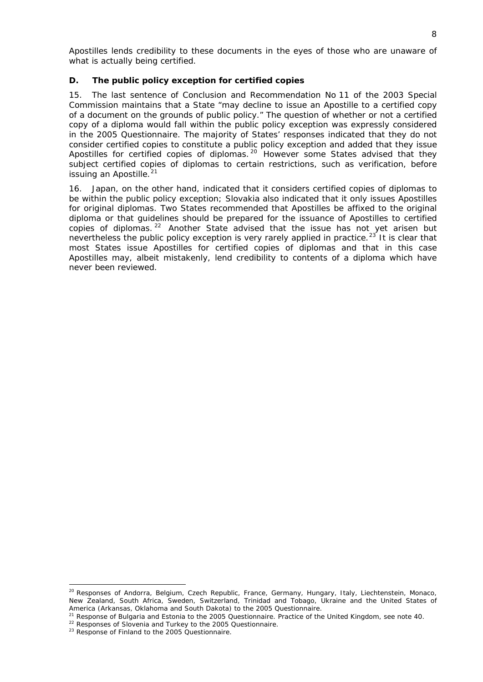Apostilles lends credibility to these documents in the eyes of those who are unaware of what is actually being certified.

## <span id="page-7-0"></span>**D. The public policy exception for certified copies**

15. The last sentence of Conclusion and Recommendation No 11 of the 2003 Special Commission maintains that a State "may decline to issue an Apostille to a certified copy of a document on the grounds of public policy." The question of whether or not a certified copy of a diploma would fall within the public policy exception was expressly considered in the 2005 Questionnaire. The majority of States' responses indicated that they do *not* consider certified copies to constitute a public policy exception and added that they issue Apostilles for certified copies of diplomas.<sup>[20](#page-7-1)</sup> However some States advised that they subject certified copies of diplomas to certain restrictions, such as verification, before issuing an Apostille.<sup>[21](#page-7-2)</sup>

16. Japan, on the other hand, indicated that it considers certified copies of diplomas to be within the public policy exception; Slovakia also indicated that it only issues Apostilles for original diplomas. Two States recommended that Apostilles be affixed to the original diploma or that guidelines should be prepared for the issuance of Apostilles to certified copies of diplomas. [22](#page-7-3) Another State advised that the issue has not yet arisen but nevertheless the public policy exception is very rarely applied in practice.<sup>[23](#page-7-4)</sup> It is clear that most States issue Apostilles for certified copies of diplomas and that in this case Apostilles may, albeit mistakenly, lend credibility to contents of a diploma which have never been reviewed.

<span id="page-7-1"></span><sup>&</sup>lt;sup>20</sup> Responses of Andorra, Belgium, Czech Republic, France, Germany, Hungary, Italy, Liechtenstein, Monaco, New Zealand, South Africa, Sweden, Switzerland, Trinidad and Tobago, Ukraine and the United States of America (Arkansas, Oklahoma and South Dakota) to the 2005 Questionnaire.

<span id="page-7-3"></span><span id="page-7-2"></span><sup>&</sup>lt;sup>21</sup> Response of Bulgaria and Estonia to the 2005 Questionnaire. Practice of the United Kingdom, see note 40. <br><sup>22</sup> Responses of Slovenia and Turkey to the 2005 Questionnaire.<br><sup>23</sup> Response of Finland to the 2005 Question

<span id="page-7-4"></span>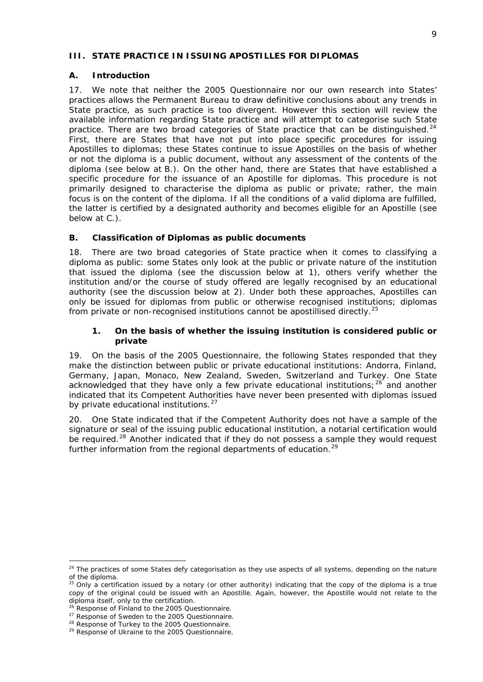#### <span id="page-8-0"></span>**III. STATE PRACTICE IN ISSUING APOSTILLES FOR DIPLOMAS**

#### <span id="page-8-1"></span>**A. Introduction**

17. We note that neither the 2005 Questionnaire nor our own research into States' practices allows the Permanent Bureau to draw definitive conclusions about any trends in State practice, as such practice is too divergent. However this section will review the available information regarding State practice and will attempt to categorise such State practice. There are two broad categories of State practice that can be distinguished.<sup>[24](#page-8-4)</sup> First, there are States that have not put into place specific procedures for issuing Apostilles to diplomas; these States continue to issue Apostilles on the basis of whether or not the diploma is a public document, without any assessment of the contents of the diploma (see below at B.). On the other hand, there are States that have established a specific procedure for the issuance of an Apostille for diplomas. This procedure is not primarily designed to characterise the diploma as public or private; rather, the main focus is on the *content* of the diploma. If all the conditions of a valid diploma are fulfilled, the latter is certified by a designated authority and becomes eligible for an Apostille (see below at C.).

## <span id="page-8-2"></span>**B. Classification of Diplomas as public documents**

18. There are two broad categories of State practice when it comes to classifying a diploma as public: some States only look at the *public or private nature of the institution* that issued the diploma (see the discussion below at 1), others verify whether the institution and/or the course of study offered are *legally recognised by an educational authority* (see the discussion below at 2). Under both these approaches, Apostilles can only be issued for diplomas from public or otherwise recognised institutions; diplomas from private or non-recognised institutions cannot be apostillised directly.<sup>[25](#page-8-5)</sup>

#### **1. On the basis of whether the issuing institution is considered public or private**

<span id="page-8-3"></span>19. On the basis of the 2005 Questionnaire, the following States responded that they make the distinction between public or private educational institutions: Andorra, Finland, Germany, Japan, Monaco, New Zealand, Sweden, Switzerland and Turkey. One State acknowledged that they have only a few private educational institutions;  $26$  and another indicated that its Competent Authorities have never been presented with diplomas issued by private educational institutions.<sup>[27](#page-8-7)</sup>

20. One State indicated that if the Competent Authority does not have a sample of the signature or seal of the issuing public educational institution, a notarial certification would be required.<sup>[28](#page-8-8)</sup> Another indicated that if they do not possess a sample they would request further information from the regional departments of education.<sup>[29](#page-8-9)</sup>

<span id="page-8-4"></span><sup>&</sup>lt;sup>24</sup> The practices of some States defy categorisation as they use aspects of all systems, depending on the nature of the diploma.

<span id="page-8-5"></span> $^{25}$  Only a certification issued by a notary (or other authority) indicating that the copy of the diploma is a true copy of the original could be issued with an Apostille. Again, however, the Apostille would not relate to the diploma itself, only to the certification.<br><sup>26</sup> Response of Finland to the 2005 Questionnaire.

<span id="page-8-6"></span>

<span id="page-8-8"></span>

<span id="page-8-9"></span>

<span id="page-8-7"></span><sup>&</sup>lt;sup>27</sup> Response of Sweden to the 2005 Questionnaire.<br><sup>28</sup> Response of Turkey to the 2005 Questionnaire.<br><sup>29</sup> Response of Ukraine to the 2005 Questionnaire.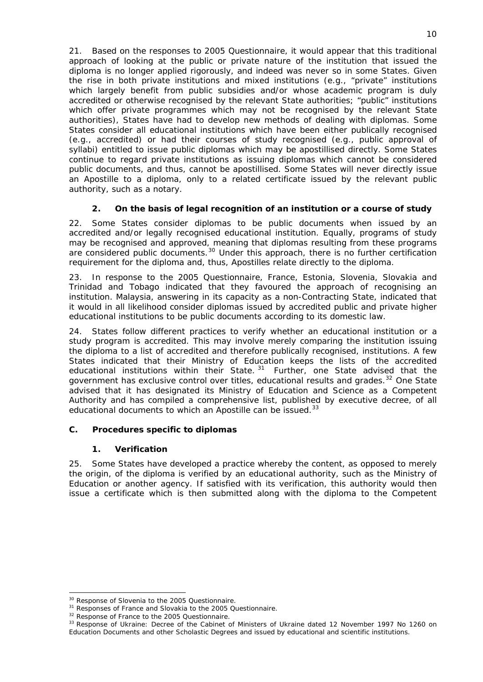21. Based on the responses to 2005 Questionnaire, it would appear that this traditional approach of looking at the public or private nature of the institution that issued the diploma is no longer applied rigorously, and indeed was never so in some States. Given the rise in both private institutions and mixed institutions (*e.g.*, "private" institutions which largely benefit from public subsidies and/or whose academic program is duly accredited or otherwise recognised by the relevant State authorities; "public" institutions which offer private programmes which may not be recognised by the relevant State authorities), States have had to develop new methods of dealing with diplomas. Some States consider all educational institutions which have been either publically recognised (*e.g.*, accredited) or had their courses of study recognised (*e.g.*, public approval of syllabi) entitled to issue public diplomas which may be apostillised directly. Some States continue to regard private institutions as issuing diplomas which cannot be considered public documents, and thus, cannot be apostillised. Some States will never directly issue an Apostille to a diploma, only to a related certificate issued by the relevant public authority, such as a notary.

# **2. On the basis of legal recognition of an institution or a course of study**

<span id="page-9-0"></span>22. Some States consider diplomas to be public documents when issued by an accredited and/or legally recognised educational institution. Equally, programs of study may be recognised and approved, meaning that diplomas resulting from these programs are considered public documents.<sup>[30](#page-9-3)</sup> Under this approach, there is no further certification requirement for the diploma and, thus, Apostilles relate directly to the diploma.

23. In response to the 2005 Questionnaire, France, Estonia, Slovenia, Slovakia and Trinidad and Tobago indicated that they favoured the approach of recognising an institution. Malaysia, answering in its capacity as a non-Contracting State, indicated that it would in all likelihood consider diplomas issued by accredited public and private higher educational institutions to be public documents according to its domestic law.

24. States follow different practices to verify whether an educational institution or a study program is accredited. This may involve merely comparing the institution issuing the diploma to a list of accredited and therefore publically recognised, institutions. A few States indicated that their Ministry of Education keeps the lists of the accredited educational institutions within their State.<sup>[31](#page-9-4)</sup> Further, one State advised that the government has exclusive control over titles, educational results and grades.<sup>[32](#page-9-5)</sup> One State advised that it has designated its Ministry of Education and Science as a Competent Authority and has compiled a comprehensive list, published by executive decree, of all educational documents to which an Apostille can be issued.<sup>[33](#page-9-6)</sup>

## <span id="page-9-1"></span>**C. Procedures specific to diplomas**

### **1. Verification**

<span id="page-9-2"></span>25. Some States have developed a practice whereby the content, as opposed to merely the origin, of the diploma is verified by an educational authority, such as the Ministry of Education or another agency. If satisfied with its verification, this authority would then issue a certificate which is then submitted along with the diploma to the Competent

<sup>-</sup>

<span id="page-9-6"></span><span id="page-9-5"></span><span id="page-9-4"></span>

<span id="page-9-3"></span><sup>&</sup>lt;sup>30</sup> Response of Slovenia to the 2005 Questionnaire.<br><sup>31</sup> Responses of France and Slovakia to the 2005 Questionnaire.<br><sup>32</sup> Response of France to the 2005 Questionnaire.<br><sup>33</sup> Response of Ukraine: Decree of the Cabinet of Mi Education Documents and other Scholastic Degrees and issued by educational and scientific institutions.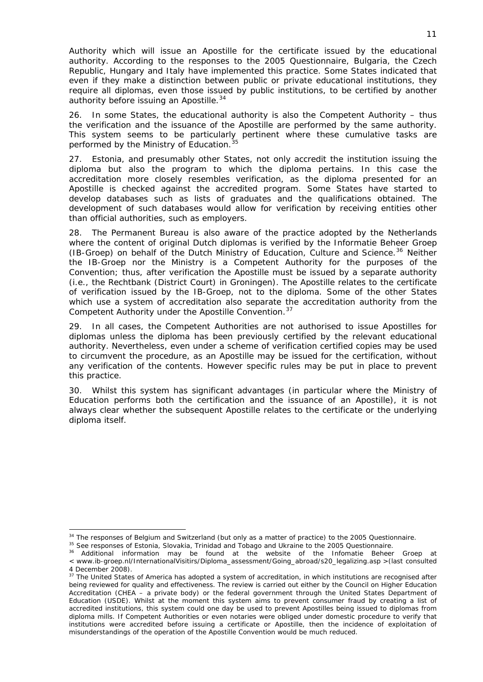Authority which will issue an Apostille for the certificate issued by the educational authority. According to the responses to the 2005 Questionnaire, Bulgaria, the Czech Republic, Hungary and Italy have implemented this practice. Some States indicated that even if they make a distinction between public or private educational institutions, they require all diplomas, even those issued by public institutions, to be certified by another authority before issuing an Apostille.<sup>[34](#page-10-0)</sup>

26. In some States, the educational authority is also the Competent Authority – thus the verification and the issuance of the Apostille are performed by the same authority. This system seems to be particularly pertinent where these cumulative tasks are performed by the Ministry of Education.<sup>3</sup>

27. Estonia, and presumably other States, not only accredit the institution issuing the diploma but also the program to which the diploma pertains. In this case the accreditation more closely resembles verification, as the diploma presented for an Apostille is checked against the accredited program. Some States have started to develop databases such as lists of graduates and the qualifications obtained. The development of such databases would allow for verification by receiving entities other than official authorities, such as employers.

28. The Permanent Bureau is also aware of the practice adopted by the Netherlands where the content of original Dutch diplomas is verified by the *Informatie Beheer Groep*  (IB-Groep) on behalf of the Dutch Ministry of Education, Culture and Science.<sup>[36](#page-10-2)</sup> Neither the IB-Groep nor the Ministry is a Competent Authority for the purposes of the Convention; thus, after verification the Apostille must be issued by a separate authority (*i.e.*, the *Rechtbank* (District Court) in Groningen). The Apostille relates to the certificate of verification issued by the IB-Groep, not to the diploma. Some of the other States which use a system of accreditation also separate the accreditation authority from the Competent Authority under the Apostille Convention.<sup>[37](#page-10-3)</sup>

29. In all cases, the Competent Authorities are not authorised to issue Apostilles for diplomas unless the diploma has been previously certified by the relevant educational authority. Nevertheless, even under a scheme of verification certified copies may be used to circumvent the procedure, as an Apostille may be issued for the certification, without any verification of the contents. However specific rules may be put in place to prevent this practice.

30. Whilst this system has significant advantages (in particular where the Ministry of Education performs both the certification and the issuance of an Apostille), it is not always clear whether the subsequent Apostille relates to the certificate or the underlying diploma itself.

<span id="page-10-1"></span><span id="page-10-0"></span><sup>&</sup>lt;sup>34</sup> The responses of Belgium and Switzerland (but only as a matter of practice) to the 2005 Questionnaire.<br><sup>35</sup> See responses of Estonia, Slovakia, Trinidad and Tobago and Ukraine to the 2005 Questionnaire.<br><sup>36</sup> Addition

<span id="page-10-2"></span><sup>&</sup>lt; www.ib-groep.nl/InternationalVisitirs/Diploma\_assessment/Going\_abroad/s20\_legalizing.asp >(last consulted 4 December 2008).

<span id="page-10-3"></span><sup>&</sup>lt;sup>37</sup> The United States of America has adopted a system of accreditation, in which institutions are recognised after being reviewed for quality and effectiveness. The review is carried out either by the Council on Higher Education Accreditation (CHEA – a private body) or the federal government through the United States Department of Education (USDE). Whilst at the moment this system aims to prevent consumer fraud by creating a list of accredited institutions, this system could one day be used to prevent Apostilles being issued to diplomas from diploma mills. If Competent Authorities or even notaries were obliged under domestic procedure to verify that institutions were accredited before issuing a certificate or Apostille, then the incidence of exploitation of misunderstandings of the operation of the Apostille Convention would be much reduced.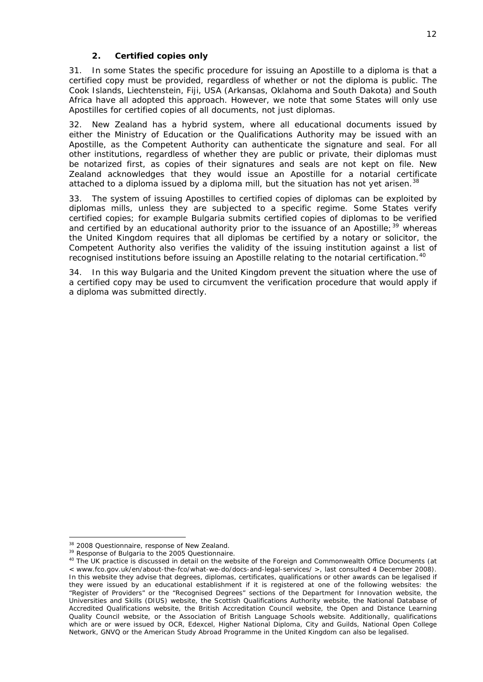### **2. Certified copies only**

31. In some States the specific procedure for issuing an Apostille to a diploma is that a certified copy must be provided, regardless of whether or not the diploma is public. The Cook Islands, Liechtenstein, Fiji, USA (Arkansas, Oklahoma and South Dakota) and South Africa have all adopted this approach. However, we note that some States will only use Apostilles for certified copies of all documents, not just diplomas.

32. New Zealand has a hybrid system, where all educational documents issued by either the Ministry of Education or the Qualifications Authority may be issued with an Apostille, as the Competent Authority can authenticate the signature and seal. For all other institutions, regardless of whether they are public or private, their diplomas must be notarized first, as copies of their signatures and seals are not kept on file. New Zealand acknowledges that they would issue an Apostille for a notarial certificate attached to a diploma issued by a diploma mill, but the situation has not yet arisen.<sup>[38](#page-11-1)</sup>

33. The system of issuing Apostilles to certified copies of diplomas can be exploited by diplomas mills, unless they are subjected to a specific regime. Some States verify certified copies; for example Bulgaria submits certified copies of diplomas to be verified and certified by an educational authority prior to the issuance of an Apostille;<sup>[39](#page-11-2)</sup> whereas the United Kingdom requires that all diplomas be certified by a notary or solicitor, the Competent Authority also verifies the validity of the issuing institution against a list of recognised institutions before issuing an Apostille relating to the notarial certification.<sup>[40](#page-11-3)</sup>

34. In this way Bulgaria and the United Kingdom prevent the situation where the use of a certified copy may be used to circumvent the verification procedure that would apply if a diploma was submitted directly.

<span id="page-11-3"></span><span id="page-11-2"></span>

<span id="page-11-1"></span><span id="page-11-0"></span><sup>&</sup>lt;sup>38</sup> 2008 Questionnaire, response of New Zealand.<br><sup>39</sup> Response of Bulgaria to the 2005 Questionnaire.<br><sup>40</sup> The UK practice is discussed in detail on the website of the Foreign and Commonwealth Office Documents (at < www.fco.gov.uk/en/about-the-fco/what-we-do/docs-and-legal-services/ >, last consulted 4 December 2008). In this website they advise that degrees, diplomas, certificates, qualifications or other awards can be legalised if they were issued by an educational establishment if it is registered at one of the following websites: the "Register of Providers" or the "Recognised Degrees" sections of the Department for Innovation website, the Universities and Skills (DIUS) website, the Scottish Qualifications Authority website, the National Database of Accredited Qualifications website, the British Accreditation Council website, the Open and Distance Learning Quality Council website, or the Association of British Language Schools website. Additionally, qualifications which are or were issued by OCR, Edexcel, Higher National Diploma, City and Guilds, National Open College Network, GNVQ or the American Study Abroad Programme in the United Kingdom can also be legalised.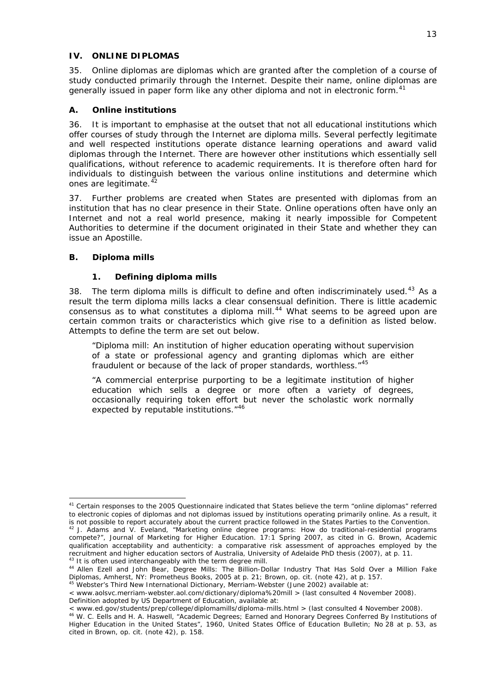### <span id="page-12-0"></span>**IV. ONLINE DIPLOMAS**

35. Online diplomas are diplomas which are granted after the completion of a course of study conducted primarily through the Internet. Despite their name, online diplomas are generally issued in paper form like any other diploma and not in electronic form.<sup>[41](#page-12-4)</sup>

## **A. Online institutions**

<span id="page-12-1"></span>36. It is important to emphasise at the outset that not all educational institutions which offer courses of study through the Internet are diploma mills. Several perfectly legitimate and well respected institutions operate distance learning operations and award valid diplomas through the Internet. There are however other institutions which essentially sell qualifications, without reference to academic requirements. It is therefore often hard for individuals to distinguish between the various online institutions and determine which ones are legitimate. $42$ 

37. Further problems are created when States are presented with diplomas from an institution that has no clear presence in their State. Online operations often have only an Internet and not a real world presence, making it nearly impossible for Competent Authorities to determine if the document originated in their State and whether they can issue an Apostille.

## <span id="page-12-2"></span>**B. Diploma mills**

-

### **1. Defining diploma mills**

<span id="page-12-3"></span>38. The term diploma mills is difficult to define and often indiscriminately used.<sup>[43](#page-12-6)</sup> As a result the term diploma mills lacks a clear consensual definition. There is little academic consensus as to what constitutes a diploma mill.<sup>[44](#page-12-7)</sup> What seems to be agreed upon are certain common traits or characteristics which give rise to a definition as listed below. Attempts to define the term are set out below.

"Diploma mill: An institution of higher education operating without supervision of a state or professional agency and granting diplomas which are either fraudulent or because of the lack of proper standards, worthless."[45](#page-12-8)

"A commercial enterprise purporting to be a legitimate institution of higher education which sells a degree or more often a variety of degrees, occasionally requiring token effort but never the scholastic work normally expected by reputable institutions."<sup>[46](#page-12-9)</sup>

<span id="page-12-4"></span><sup>&</sup>lt;sup>41</sup> Certain responses to the 2005 Questionnaire indicated that States believe the term "online diplomas" referred to electronic copies of diplomas and not diplomas issued by institutions operating primarily online. As a result, it

<span id="page-12-5"></span>is not possible to report accurately about the current practice followed in the States Parties to the Convention.<br><sup>42</sup> J. Adams and V. Eveland, "Marketing online degree programs: How do traditional-residential programs compete?", *Journal of Marketing for Higher Education.* 17:1 Spring 2007, as cited in G. Brown, *Academic qualification acceptability and authenticity: a comparative risk assessment of approaches employed by the* 

<span id="page-12-7"></span><span id="page-12-6"></span><sup>&</sup>lt;sup>43</sup> It is often used interchangeably with the term degree mill.<br><sup>44</sup> Allen Ezell and John Bear, *Degree Mills: The Billion-Dollar Industry That Has Sold Over a Million Fake Diplomas*, Amherst, NY: Prometheus Books, 2005 at p. 21; Brown, *op. cit.* (note 42), at p. 157. 45 *Webster's Third New International Dictionary*, Merriam-Webster (June 2002) available at:

<span id="page-12-8"></span>

<sup>&</sup>lt; www.aolsvc.merriam-webster.aol.com/dictionary/diploma%20mill > (last consulted 4 November 2008). Definition adopted by US Department of Education, available at:

<span id="page-12-9"></span><sup>&</sup>lt; www.ed.gov/students/prep/college/diplomamills/diploma-mills.html > (last consulted 4 November 2008). 46 W. C. Eells and H. A. Haswell, ["Academic Degrees; Earned and Honorary Degrees Conferred By Institutions of](http://library.plymouth.edu/read/112163)  [Higher Education in the United States](http://library.plymouth.edu/read/112163)", 1960, *United States Office of Education Bulletin*; No 28 at p. 53, as cited in Brown, *op. cit.* (note 42), p. 158.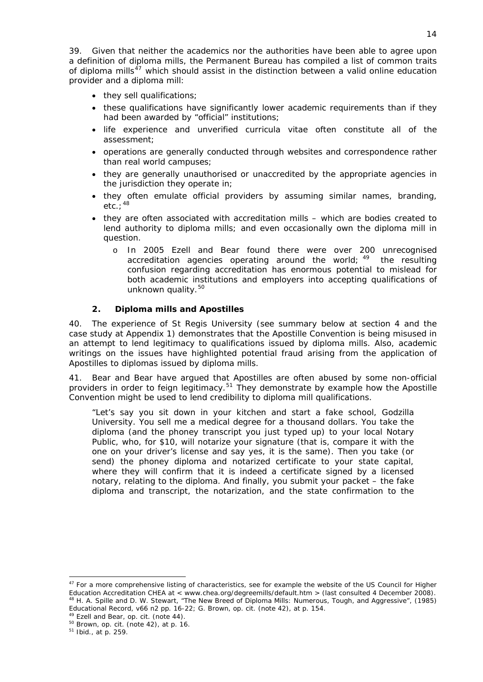39. Given that neither the academics nor the authorities have been able to agree upon a definition of diploma mills, the Permanent Bureau has compiled a list of common traits of diploma mills<sup>[47](#page-13-1)</sup> which should assist in the distinction between a valid online education provider and a diploma mill:

- they sell qualifications;
- these qualifications have significantly lower academic requirements than if they had been awarded by "official" institutions;
- life experience and unverified *curricula vitae* often constitute all of the assessment;
- operations are generally conducted through websites and correspondence rather than real world campuses;
- they are generally unauthorised or unaccredited by the appropriate agencies in the jurisdiction they operate in;
- they often emulate official providers by assuming similar names, branding, etc.;  $^{48}$  $^{48}$  $^{48}$
- they are often associated with accreditation mills which are bodies created to lend authority to diploma mills; and even occasionally own the diploma mill in question.
	- o In 2005 Ezell and Bear found there were over 200 unrecognised accreditation agencies operating around the world; <sup>[49](#page-13-3)</sup> the resulting confusion regarding accreditation has enormous potential to mislead for both academic institutions and employers into accepting qualifications of unknown quality.<sup>[50](#page-13-4)</sup>

## **2. Diploma mills and Apostilles**

<span id="page-13-0"></span>40. The experience of St Regis University (see summary below at section [4](#page-15-0) and the case study at Appendix 1) demonstrates that the Apostille Convention is being misused in an attempt to lend legitimacy to qualifications issued by diploma mills. Also, academic writings on the issues have highlighted potential fraud arising from the application of Apostilles to diplomas issued by diploma mills.

41. Bear and Bear have argued that Apostilles are often abused by some non-official providers in order to feign legitimacy.<sup>[51](#page-13-5)</sup> They demonstrate by example how the Apostille Convention might be used to lend credibility to diploma mill qualifications.

"Let's say you sit down in your kitchen and start a fake school, Godzilla University. You sell me a medical degree for a thousand dollars. You take the diploma (and the phoney transcript you just typed up) to your local Notary Public, who, for \$10, will notarize your signature (that is, compare it with the one on your driver's license and say yes, it is the same). Then you take (or send) the phoney diploma and notarized certificate to your state capital, where they will confirm that it is indeed a certificate signed by a licensed notary, relating to the diploma. And finally, you submit your packet – the fake diploma and transcript, the notarization, and the state confirmation to the

<span id="page-13-1"></span><sup>&</sup>lt;sup>47</sup> For a more comprehensive listing of characteristics, see for example the website of the US Council for Higher Education Accreditation CHEA at < www.chea.org/degreemills/default.htm > (last consulted 4 December 2008). 48 H. A. Spille and D. W. Stewart, "The New Breed of Diploma Mills: Numerous, Tough, and Aggressive", (1985) *Educational Record*, v66 n2 pp. 16-22; G. Brown, *op. cit.* (note 42), at p. 154. <sup>49</sup> Ezell and Bear, *op. cit.* (note 44).<br><sup>50</sup> Brown, *op. cit.* (note 42), at p. 16. 51 *Ibid.*, at p. 259.

<span id="page-13-3"></span><span id="page-13-2"></span>

<span id="page-13-5"></span><span id="page-13-4"></span>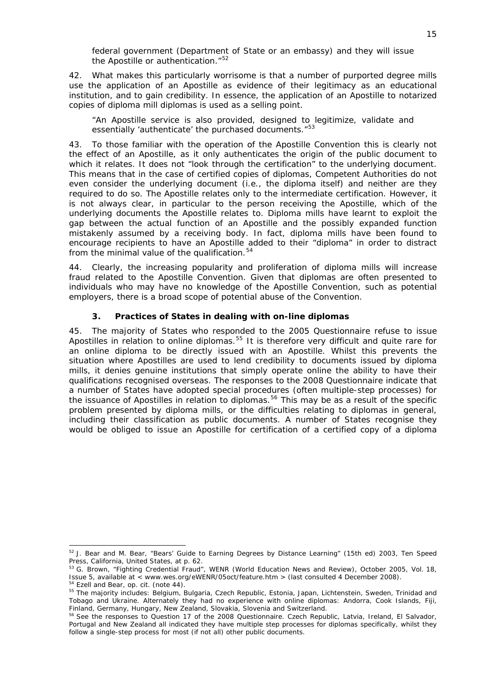federal government (Department of State or an embassy) and they will issue the Apostille or authentication."<sup>[52](#page-14-1)</sup>

42. What makes this particularly worrisome is that a number of purported degree mills use the application of an Apostille as evidence of their legitimacy as an educational institution, and to gain credibility. In essence, the application of an Apostille to notarized copies of diploma mill diplomas is used as a selling point.

"An Apostille service is also provided, designed to legitimize, validate and essentially 'authenticate' the purchased documents."<sup>[53](#page-14-2)</sup>

43. To those familiar with the operation of the Apostille Convention this is clearly not the effect of an Apostille, as it only authenticates the origin of the public document to which it relates. It does not "look through the certification" to the underlying document. This means that in the case of certified copies of diplomas, Competent Authorities do not even consider the underlying document (*i.e.*, the diploma itself) and neither are they required to do so. The Apostille relates only to the intermediate certification. However, it is not always clear, in particular to the person receiving the Apostille, which of the underlying documents the Apostille relates to. Diploma mills have learnt to exploit the gap between the actual function of an Apostille and the possibly expanded function mistakenly assumed by a receiving body. In fact, diploma mills have been found to encourage recipients to have an Apostille added to their "diploma" in order to distract from the minimal value of the qualification. $54$ 

44. Clearly, the increasing popularity and proliferation of diploma mills will increase fraud related to the Apostille Convention. Given that diplomas are often presented to individuals who may have no knowledge of the Apostille Convention, such as potential employers, there is a broad scope of potential abuse of the Convention.

## **3. Practices of States in dealing with on-line diplomas**

<span id="page-14-0"></span>45. The majority of States who responded to the 2005 Questionnaire refuse to issue Apostilles in relation to online diplomas.<sup>[55](#page-14-4)</sup> It is therefore very difficult and quite rare for an online diploma to be directly issued with an Apostille. Whilst this prevents the situation where Apostilles are used to lend credibility to documents issued by diploma mills, it denies genuine institutions that simply operate online the ability to have their qualifications recognised overseas. The responses to the 2008 Questionnaire indicate that a number of States have adopted special procedures (often multiple-step processes) for the issuance of Apostilles in relation to diplomas.<sup>[56](#page-14-5)</sup> This may be as a result of the specific problem presented by diploma mills, or the difficulties relating to diplomas in general, including their classification as public documents. A number of States recognise they would be obliged to issue an Apostille for certification of a certified copy of a diploma

<span id="page-14-1"></span><sup>&</sup>lt;sup>52</sup> J. Bear and M. Bear, "Bears' [Guide](http://www.degree.net/guides/accreditation_guide.html) to Earning Degrees by [Distance Learning](http://www.degree.net/guides/faq_s.html)" (15th ed) 2003, Ten Speed Press, California, United States, at p. 62.

<span id="page-14-2"></span><sup>&</sup>lt;sup>53</sup> G. Brown, "Fighting Credential Fraud", *WENR (World Education News and Review)*, October 2005, Vol. 18, Issue 5, available at < www.wes.org/eWENR/05oct/feature.htm > (last consulted 4 December 2008).<br><sup>54</sup> Ezell and Bear, *op. cit.* (note 44).<br><sup>55</sup> The majority includes: Belgium, Bulgaria, Czech Republic, Estonia, Japan, Lic

<span id="page-14-3"></span>

<span id="page-14-4"></span>Tobago and Ukraine. Alternately they had no experience with online diplomas: Andorra, Cook Islands, Fiji, Finland, Germany, Hungary, New Zealand, Slovakia, Slovenia and Switzerland.<br><sup>56</sup> See the responses to Question 17 of the 2008 Questionnaire. Czech Republic, Latvia, Ireland, El Salvador,

<span id="page-14-5"></span>Portugal and New Zealand all indicated they have multiple step processes for diplomas specifically, whilst they follow a single-step process for most (if not all) other public documents.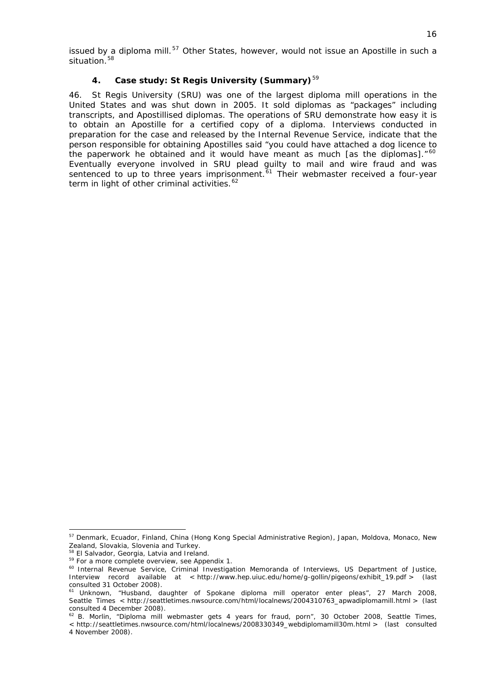issued by a diploma mill.<sup>[57](#page-15-1)</sup> Other States, however, would not issue an Apostille in such a situation.<sup>[58](#page-15-2)</sup>

# **4. Case study: St Regis University (Summary)**[59](#page-15-3)

<span id="page-15-0"></span>46. St Regis University (SRU) was one of the largest diploma mill operations in the United States and was shut down in 2005. It sold diplomas as "packages" including transcripts, and Apostillised diplomas. The operations of SRU demonstrate how easy it is to obtain an Apostille for a certified copy of a diploma. Interviews conducted in preparation for the case and released by the Internal Revenue Service, indicate that the person responsible for obtaining Apostilles said "you could have attached a dog licence to the paperwork he obtained and it would have meant as much [as the diplomas]."<sup>[60](#page-15-4)</sup> Eventually everyone involved in SRU plead guilty to mail and wire fraud and was sentenced to up to three years imprisonment.<sup> $61$ </sup> Their webmaster received a four-vear term in light of other criminal activities.<sup>[62](#page-15-6)</sup>

<span id="page-15-1"></span><sup>&</sup>lt;sup>57</sup> Denmark, Ecuador, Finland, China (Hong Kong Special Administrative Region), Japan, Moldova, Monaco, New Zealand, Slovakia, Slovenia and Turkey.<br><sup>58</sup> El Salvador, Georgia, Latvia and Ireland.

<span id="page-15-4"></span><span id="page-15-3"></span><span id="page-15-2"></span><sup>&</sup>lt;sup>59</sup> For a more complete overview, see Appendix 1.<br><sup>60</sup> Internal Revenue Service, Criminal Investigation Memoranda of Interviews, US Department of Justice, Interview record available at < http://www.hep.uiuc.edu/home/g-gollin/pigeons/exhibit\_19.pdf > (last consulted 31 October 2008).

<span id="page-15-5"></span><sup>61</sup> Unknown, "Husband, daughter of Spokane diploma mill operator enter pleas", 27 March 2008, *Seattle Times* < http://seattletimes.nwsource.com/html/localnews/2004310763\_apwadiplomamill.html > (last consulted 4 December 2008).

<span id="page-15-6"></span><sup>62</sup> B. Morlin, "Diploma mill webmaster gets 4 years for fraud, porn", 30 October 2008, *Seattle Times*, < http://seattletimes.nwsource.com/html/localnews/2008330349\_webdiplomamill30m.html > (last consulted 4 November 2008).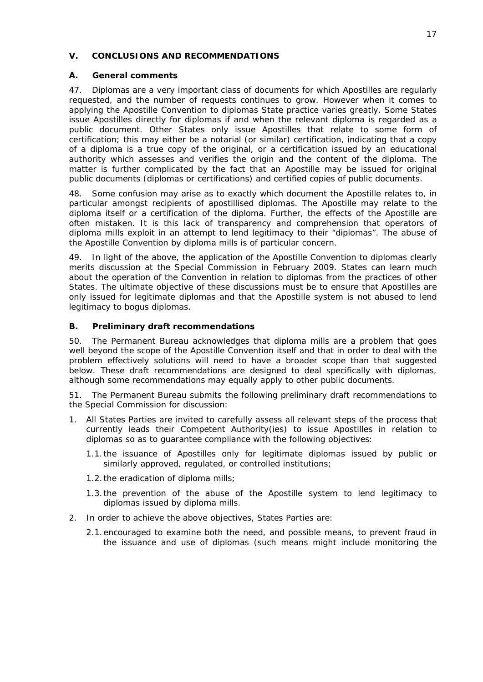### <span id="page-16-0"></span>**V. CONCLUSIONS AND RECOMMENDATIONS**

## **A. General comments**

<span id="page-16-1"></span>47. Diplomas are a very important class of documents for which Apostilles are regularly requested, and the number of requests continues to grow. However when it comes to applying the Apostille Convention to diplomas State practice varies greatly. Some States issue Apostilles *directly* for diplomas if and when the relevant diploma is regarded as a public document. Other States only issue Apostilles that relate to some form of certification; this may either be a notarial (or similar) certification, indicating that a copy of a diploma is a true copy of the original, or a certification issued by an educational authority which assesses and verifies the origin and the content of the diploma. The matter is further complicated by the fact that an Apostille may be issued for *original* public documents (diplomas or certifications) and *certified copies* of public documents.

48. Some confusion may arise as to exactly which document the Apostille relates to, in particular amongst recipients of apostillised diplomas. The Apostille may relate to the diploma itself or a certification of the diploma. Further, the effects of the Apostille are often mistaken. It is this lack of transparency and comprehension that operators of diploma mills exploit in an attempt to lend legitimacy to their "diplomas". The abuse of the Apostille Convention by diploma mills is of particular concern.

49. In light of the above, the application of the Apostille Convention to diplomas clearly merits discussion at the Special Commission in February 2009. States can learn much about the operation of the Convention in relation to diplomas from the practices of other States. The ultimate objective of these discussions must be to ensure that Apostilles are only issued for legitimate diplomas and that the Apostille system is not abused to lend legitimacy to bogus diplomas.

## <span id="page-16-2"></span>**B. Preliminary draft recommendations**

50. The Permanent Bureau acknowledges that diploma mills are a problem that goes well beyond the scope of the Apostille Convention itself and that in order to deal with the problem effectively solutions will need to have a broader scope than that suggested below. These draft recommendations are designed to deal specifically with diplomas, although some recommendations may equally apply to other public documents.

51. The Permanent Bureau submits the following preliminary draft recommendations to the Special Commission for discussion:

- 1. All States Parties are invited to carefully assess all relevant steps of the process that currently leads their Competent Authority(ies) to issue Apostilles in relation to diplomas so as to guarantee compliance with the following objectives:
	- 1.1.the issuance of Apostilles only for legitimate diplomas issued by public or similarly approved, regulated, or controlled institutions;
	- 1.2.the eradication of diploma mills;
	- 1.3.the prevention of the abuse of the Apostille system to lend legitimacy to diplomas issued by diploma mills.
- 2. In order to achieve the above objectives, States Parties are:
	- 2.1.encouraged to examine both the need, and possible means, to prevent fraud in the issuance and use of diplomas (such means might include monitoring the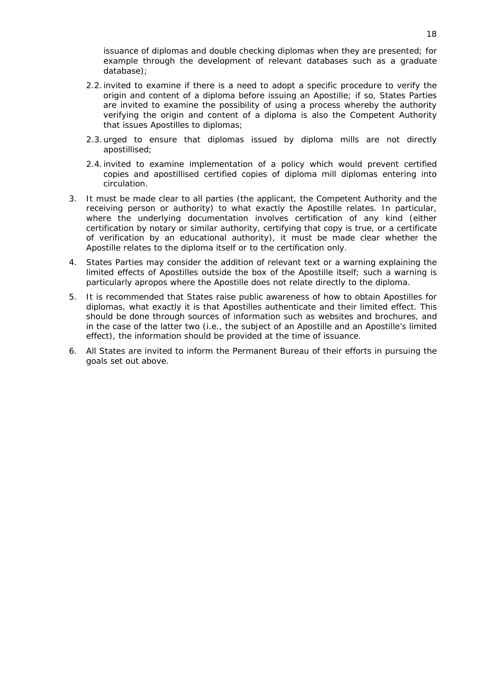issuance of diplomas and double checking diplomas when they are presented; for example through the development of relevant databases such as a graduate database);

- 2.2.invited to examine if there is a need to adopt a specific procedure to verify the origin and content of a diploma before issuing an Apostille; if so, States Parties are invited to examine the possibility of using a process whereby the authority verifying the origin and content of a diploma is also the Competent Authority that issues Apostilles to diplomas;
- 2.3.urged to ensure that diplomas issued by diploma mills are not directly apostillised;
- 2.4.invited to examine implementation of a policy which would prevent certified copies and apostillised certified copies of diploma mill diplomas entering into circulation.
- 3. It must be made clear to all parties (the applicant, the Competent Authority and the receiving person or authority) to what exactly the Apostille relates. In particular, where the underlying documentation involves certification of any kind (either certification by notary or similar authority, certifying that copy is true, or a certificate of verification by an educational authority), it must be made clear whether the Apostille relates to the diploma itself or to the certification only.
- 4. States Parties may consider the addition of relevant text or a warning explaining the limited effects of Apostilles outside the box of the Apostille itself; such a warning is particularly apropos where the Apostille does not relate directly to the diploma.
- 5. It is recommended that States raise public awareness of how to obtain Apostilles for diplomas, what exactly it is that Apostilles authenticate and their limited effect. This should be done through sources of information such as websites and brochures, and in the case of the latter two (*i.e.*, the subject of an Apostille and an Apostille's limited effect), the information should be provided at the time of issuance.
- 6. All States are invited to inform the Permanent Bureau of their efforts in pursuing the goals set out above.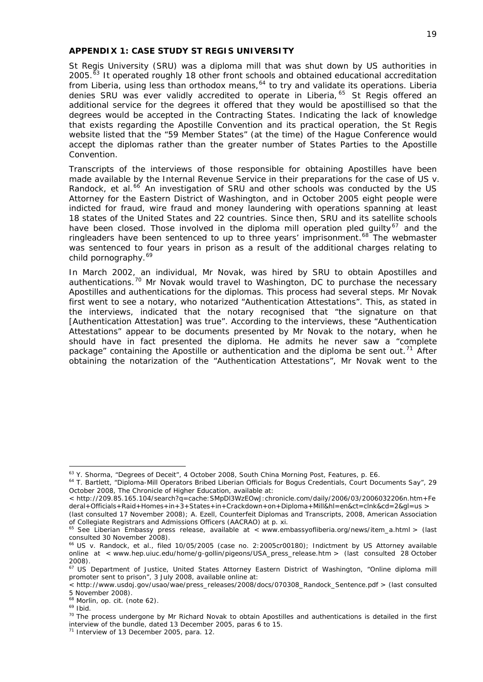#### <span id="page-18-0"></span>*APPENDIX 1: CASE STUDY ST REGIS UNIVERSITY*

St Regis University (SRU) was a diploma mill that was shut down by US authorities in 2005.<sup> $\bar{6}3$ </sup> It operated roughly 18 other front schools and obtained educational accreditation from Liberia, using less than orthodox means,  $64$  to try and validate its operations. Liberia denies SRU was ever validly accredited to operate in Liberia, [65](#page-18-3) St Regis offered an additional service for the degrees it offered that they would be apostillised so that the degrees would be accepted in the Contracting States. Indicating the lack of knowledge that exists regarding the Apostille Convention and its practical operation, the St Regis website listed that the "59 Member States" (at the time) of the Hague Conference would accept the diplomas rather than the greater number of States Parties to the Apostille Convention.

Transcripts of the interviews of those responsible for obtaining Apostilles have been made available by the Internal Revenue Service in their preparations for the case of *US v.*  Randock, et al.<sup>[66](#page-18-4)</sup> An investigation of SRU and other schools was conducted by the US Attorney for the Eastern District of Washington, and in October 2005 eight people were indicted for fraud, wire fraud and money laundering with operations spanning at least 18 states of the United States and 22 countries. Since then, SRU and its satellite schools have been closed. Those involved in the diploma mill operation pled quilty<sup>[67](#page-18-5)</sup> and the ringleaders have been sentenced to up to three years' imprisonment.<sup>[68](#page-18-6)</sup> The webmaster was sentenced to four years in prison as a result of the additional charges relating to child pornography.<sup>[69](#page-18-7)</sup>

In March 2002, an individual, Mr Novak, was hired by SRU to obtain Apostilles and authentications.<sup>[70](#page-18-8)</sup> Mr Novak would travel to Washington, DC to purchase the necessary Apostilles and authentications for the diplomas. This process had several steps. Mr Novak first went to see a notary, who notarized "Authentication Attestations". This, as stated in the interviews, indicated that the notary recognised that "the signature on that [Authentication Attestation] was true". According to the interviews, these "Authentication Attestations" appear to be documents presented by Mr Novak to the notary, when he should have in fact presented the diploma. He admits he never saw a "complete package" containing the Apostille or authentication and the diploma be sent out.<sup>[71](#page-18-9)</sup> After obtaining the notarization of the "Authentication Attestations", Mr Novak went to the

<span id="page-18-1"></span><sup>&</sup>lt;sup>63</sup> Y. Shorma, "Degrees of Deceit", 4 October 2008, South China Morning Post, Features, p. E6.

<span id="page-18-2"></span><sup>&</sup>lt;sup>64</sup> T. Bartlett, "Diploma-Mill Operators Bribed Liberian Officials for Bogus Credentials, Court Documents Say", 29 October 2008, *The Chronicle of Higher Education*, available at:

<sup>&</sup>lt; http://209.85.165.104/search?q=cache:SMpDl3WzEOwJ:chronicle.com/daily/2006/03/2006032206n.htm+Fe deral+Officials+Raid+Homes+in+3+States+in+Crackdown+on+Diploma+Mill&hl=en&ct=clnk&cd=2&gl=us >

<sup>(</sup>last consulted 17 November 2008); A. Ezell, Counterfeit Diplomas and Transcripts, 2008, American Association of Collegiate Registrars and Admissions Officers (AACRAO) at p. xi.

<span id="page-18-3"></span> $65$  See Liberian Embassy press release, available at < www.embassyofliberia.org/news/item\_a.html > (last consulted 30 November 2008).

<span id="page-18-4"></span><sup>66</sup> *US v. Randock, et al.,* filed 10/05/2005 (case no. 2:2005cr00180); Indictment by US Attorney available online at < www.hep.uiuc.edu/home/g-gollin/pigeons/USA\_press\_release.htm > (last consulted 28 October 2008).

<span id="page-18-5"></span><sup>&</sup>lt;sup>67</sup> US Department of Justice, United States Attorney Eastern District of Washington, "Online diploma mill promoter sent to prison", 3 July 2008, available online at:

<sup>&</sup>lt; http://www.usdoj.gov/usao/wae/press\_releases/2008/docs/070308\_Randock\_Sentence.pdf > (last consulted 5 November 2008).

<span id="page-18-6"></span><sup>68</sup> Morlin, *op. cit.* (note 62). 69 *Ibid.*

<span id="page-18-8"></span><span id="page-18-7"></span> $70$  The process undergone by Mr Richard Novak to obtain Apostilles and authentications is detailed in the first interview of the bundle, dated 13 December 2005, paras 6 to 15.

<span id="page-18-9"></span><sup>71</sup> Interview of 13 December 2005, para. 12.